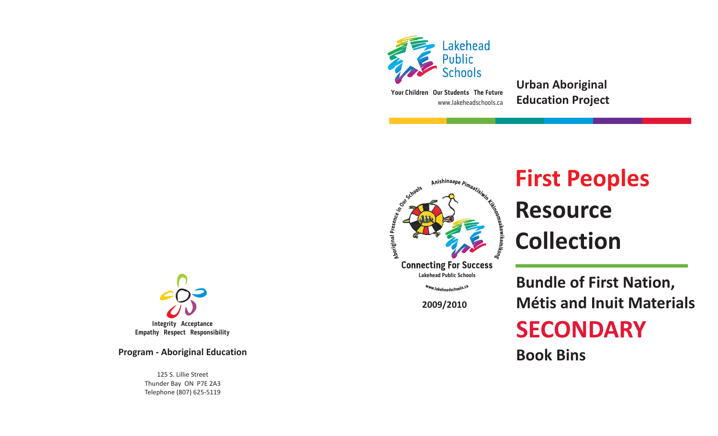

www.lakeheadschools.ca**Your Children Our Students The Future** **Urban Aboriginal Education Project**



# **First Peoples**<br> **Resource**<br> **E** Collection **Resource Collection**

Www.lakeheadschools.ca

**2009/2010**

**Bundle of First Nation, Métis and Inuit Materials**

## **SECONDARY**

**Book Bins**



**Empathy Respect Responsibility**

**Program - Aboriginal Education**

125 S. Lillie StreetThunder Bay ON P7E 2A3 Telephone (807) 625-5119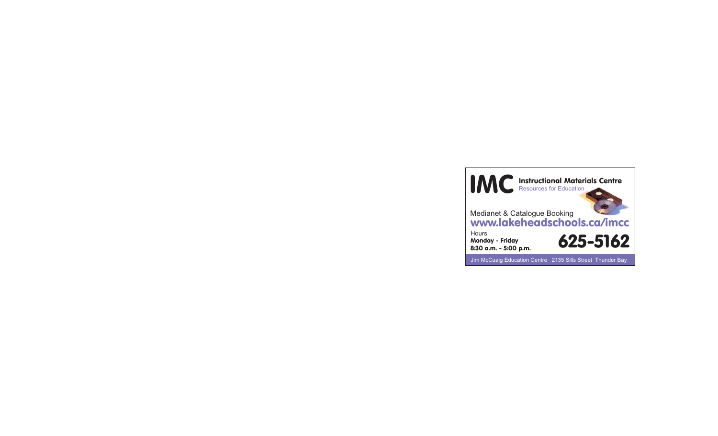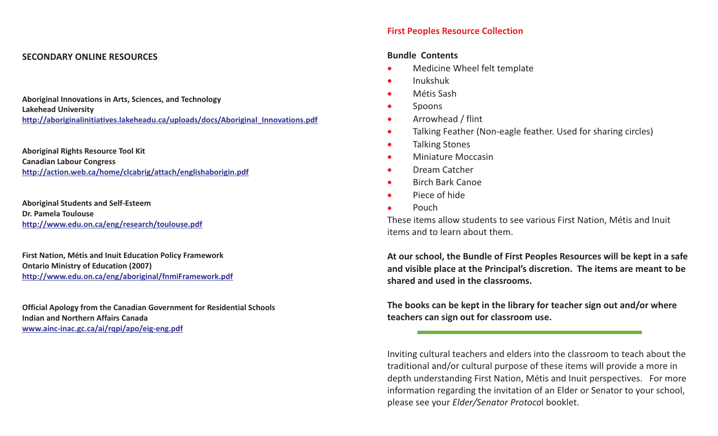#### **SECONDARY ONLINE RESOURCES**

**Aboriginal Innovations in Arts, Sciences, and Technology Lakehead University http://aboriginalinitiatives.lakeheadu.ca/uploads/docs/Aboriginal\_Innovations.pdf**

**Aboriginal Rights Resource Tool Kit Canadian Labour Congress http://action.web.ca/home/clcabrig/attach/englishaborigin.pdf**

**Aboriginal Students and Self-Esteem Dr. Pamela Toulousehttp://www.edu.on.ca/eng/research/toulouse.pdf**

**First Nation, Métis and Inuit Education Policy Framework Ontario Ministry of Education (2007) http://www.edu.on.ca/eng/aboriginal/fnmiFramework.pdf**

**Official Apology from the Canadian Government for Residential Schools Indian and Northern Affairs Canadawww.ainc-inac.gc.ca/ai/rqpi/apo/eig-eng.pdf**

#### **First Peoples Resource Collection**

#### **Bundle Contents**

- $\bullet$ Medicine Wheel felt template
- $\bullet$ Inukshuk
- $\bullet$ Métis Sash
- $\bullet$ Spoons
- $\bullet$ Arrowhead / flint
- $\bullet$ Talking Feather (Non-eagle feather. Used for sharing circles)
- -Talking Stones
- $\bullet$ Miniature Moccasin
- -Dream Catcher
- $\bullet$ Birch Bark Canoe
- -Piece of hide
- $\bullet$ Pouch

These items allow students to see various First Nation, Métis and Inuit items and to learn about them.

At our school, the Bundle of First Peoples Resources will be kept in a safe and visible place at the Principal's discretion. The items are meant to be **shared and used in the classrooms.**

The books can be kept in the library for teacher sign out and/or where **teachers can sign out for classroom use.**

Inviting cultural teachers and elders into the classroom to teach about the traditional and/or cultural purpose of these items will provide <sup>a</sup> more in depth understanding First Nation, Métis and Inuit perspectives. For more information regarding the invitation of an Elder or Senator to your school, please see your *Elder/Senator Protocol* booklet.